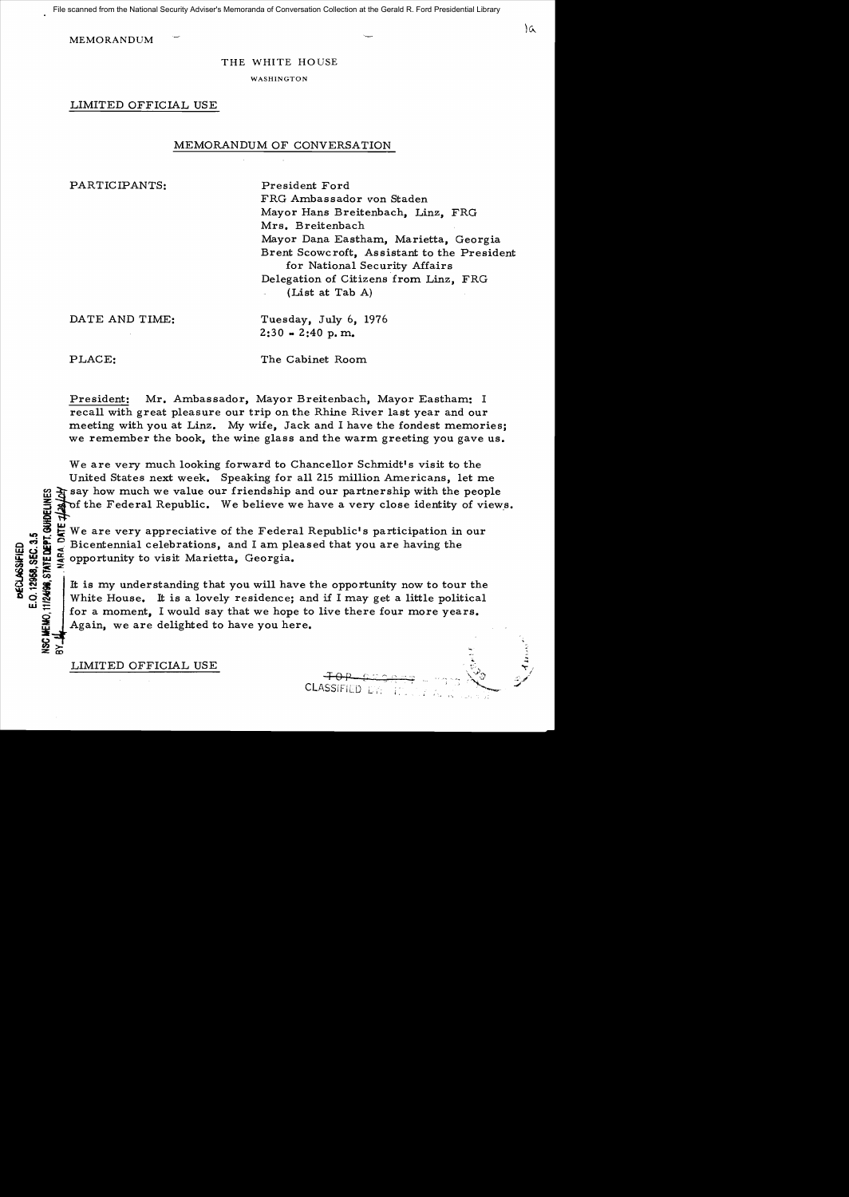MEMORANDUM

THE WHITE HOUSE

WASHINGTON

LIMITED OFFICIAL USE

### MEMORANDUM OF CONVERSATION

PARTICIPANTS: President Ford

FRG Ambassador *von* Staden Mayor Hans Breitenbach, Linz, FRG Mrs. Breitenbach Mayor Dana Eastham, Marietta, Georgia Brent Scowcroft, Assistant to the President for National Security Affairs Delegation of Citizens from Linz, FRG (List at Tab A)

DATE AND TIME: Tuesday, July 6, 1976

NSC MEMO, 11/24/98, STATE DEPT. GUIDELINES

PLACE: The Cabinet Room

 $2:30 - 2:40$  p.m.

President: Mr. Ambassador, Mayor Breitenbach, Mayor Eastham: I recall with great pleasure our trip on the Rhine River last year and our meeting with you at Linz. My wife, Jack and I have the fondest memories; we remember the book, the wine glass and the warm greeting you gave us.

We are very much looking forward to Chancellor Schmidt's visit to the United States next week. Speaking for all 215 million Americans, let me f3 ~ay how much we value our friendship and our partnership with the people of the Federal Republic. We believe we have a very close identity of views.

% \*\*\* We are very appreciative of the Federal Republic's participation in our<br>
"Contenuial celebrations, and I am pleased that you are having the<br>
"Contenuity to visit Marietta, Georgia.<br>
"The subset of the set of the set or 5  $\frac{1}{10}$  Bicentennial celebrations, and I am pleased that you are having the<br>  $\frac{1}{10}$   $\frac{1}{10}$   $\frac{1}{10}$   $\frac{1}{10}$  opportunity to visit Marietta, Georgia.<br>  $\frac{1}{10}$   $\frac{1}{10}$   $\frac{1}{10}$   $\frac{1}{10}$  is my u opportunity to visit Marietta, Georgia.

It is my understanding that you will have the opportunity now to tour the White House. It is a lovely residence; and if I may get a little political for a moment, I would say that we hope to live there four more years. Again, we are delighted to have you here.

LIMITED OFFICIAL USE

 $CLASSIFIED$   $E_{11}$ 

.<br>تم <u>ت</u>

 $\alpha$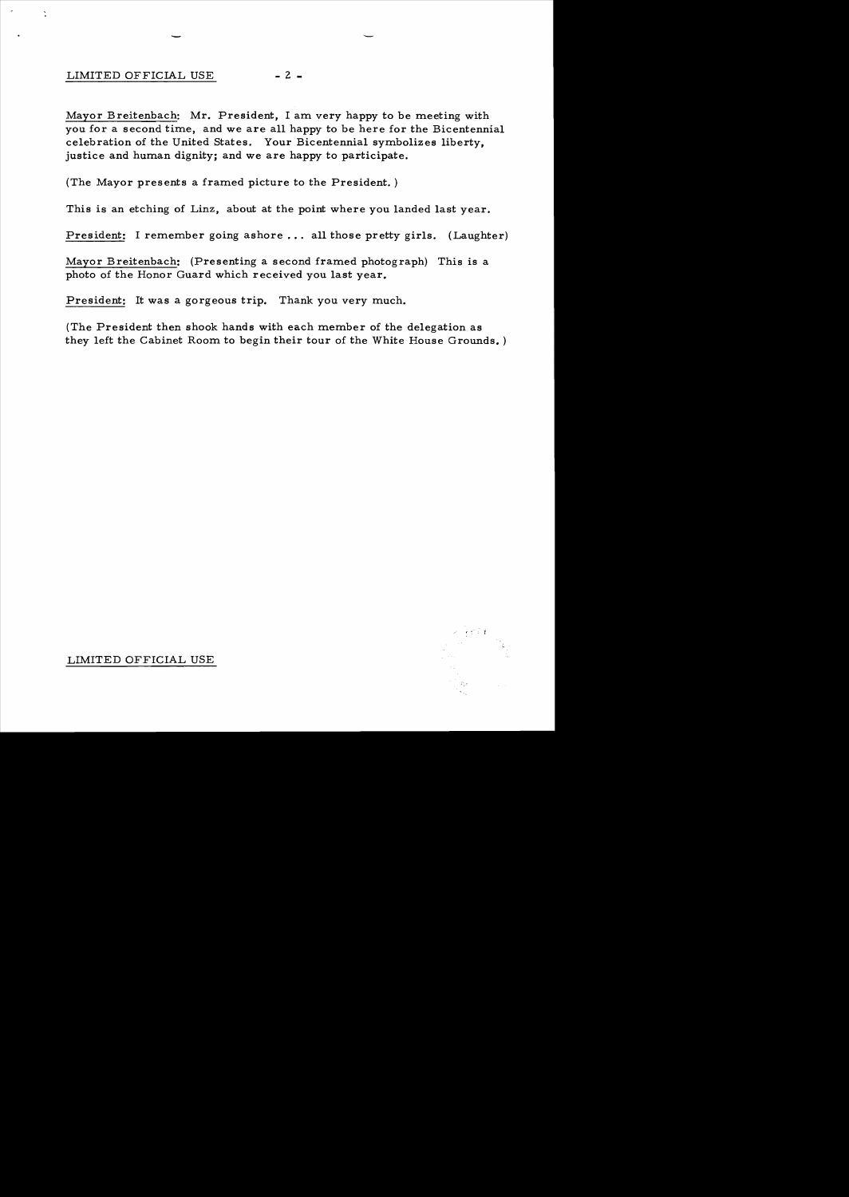### LIMITED OFFICIAL USE  $-2$  -

 $\ddot{\cdot}$ 

Mayor Breitenbach: Mr. President, I am very happy to be meeting with you for a second time, and we are all happy to be here for the Bicentennial celebration of the United States. Your Bicentennial symbolizes liberty, justice and human dignity; and we are happy to participate.

(The Mayor presents a framed picture to the President. )

This is an etching of Linz, about at the point where you landed last year.

President: I remember going ashore ... all those pretty girls. (Laughter)

Mayor Breitenbach: (Presenting a second framed photograph) This is a photo of the Honor Guard which received you last year.

President: It was a gorgeous trip. Thank you very much.

(The President then shook hands with each member of the delegation as they left the Cabinet Room to begin their tour of the White House Grounds. )



LIMITED OFFICIAL USE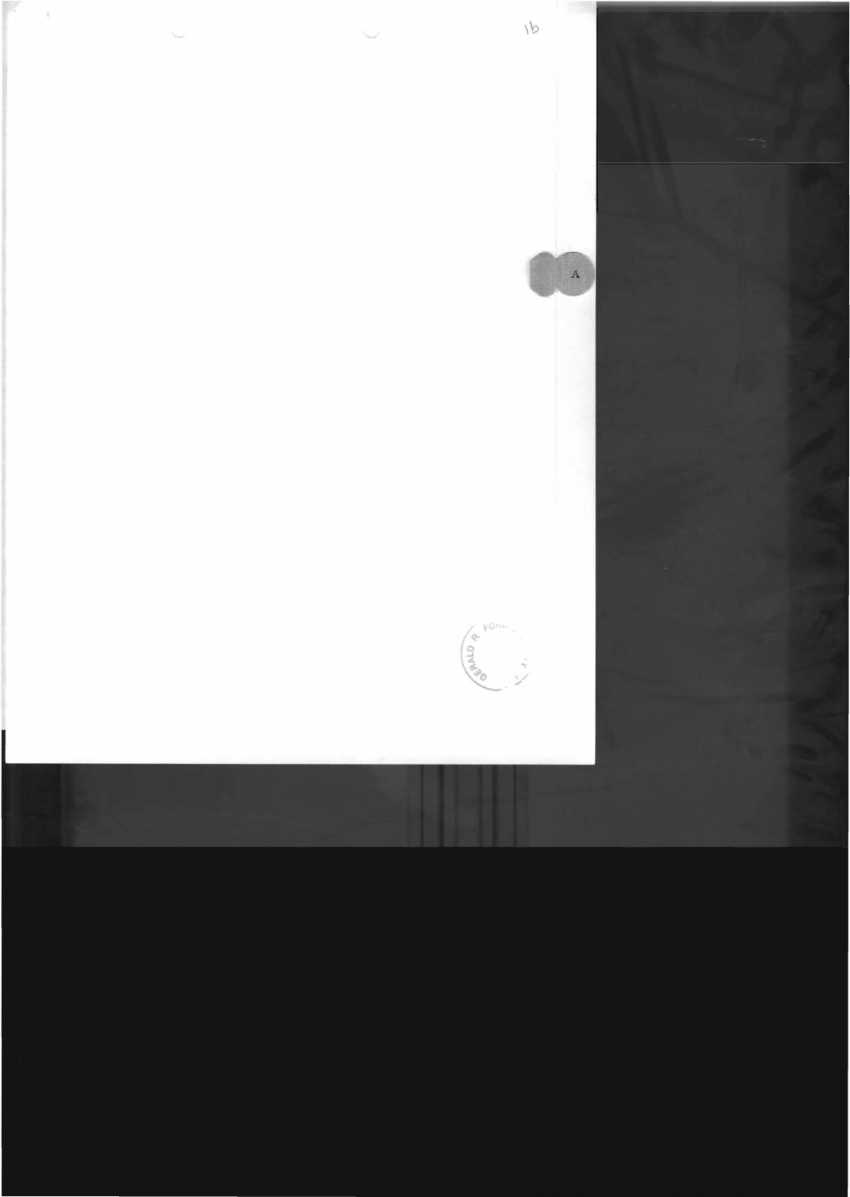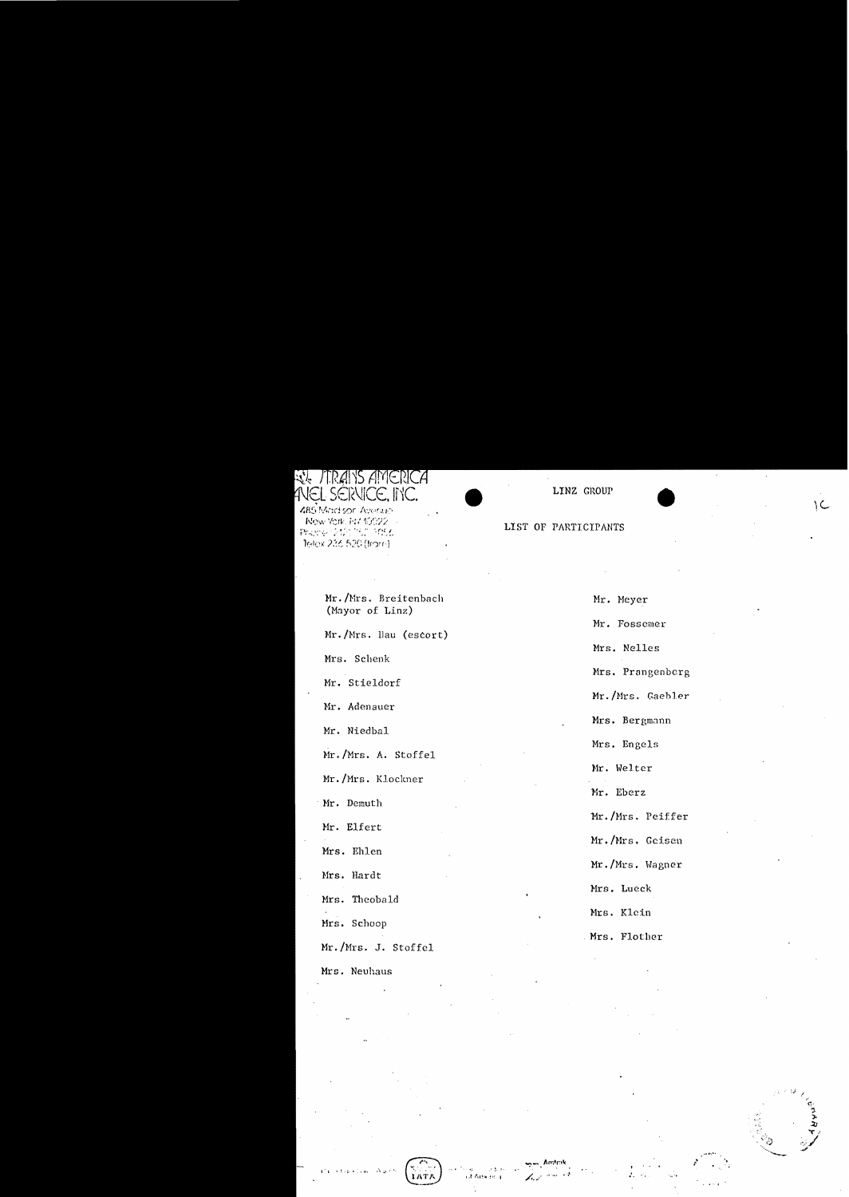AIYS AMERICA  $\epsilon$  inco 485 Madison Average New York, NY 10022

Phone 2421757 1056 Telex 236 520 (tram)

LINZ GROUP

# LIST OF PARTICIPANTS

Mr./Mrs. Breitenbach (Mayor of Linz)

Mr./Mrs. Hau (escort)

Mrs. Schenk

Mr. Stieldorf

Mr. Adenauer

Mr. Niedbal

Mr./Mrs. A. Stoffel

Mr./Mrs. Klockner

Mr. Demuth

Mr. Elfert

Mrs. Ehlen

Mrs. Hardt

Mrs. Theobald

Mrs. Schoop

Mr./Mrs. J. Stoffel

Mrs. Neuhaus

Mr. Meyer Mr. Fossemer Mrs. Nelles Mrs. Prangenberg Mr./Mrs. Gaebler Mrs. Bergmann Mrs. Engels Mr. Welter Mr. Eberz Mr./Mrs. Peiffer Mr./Mrs. Geisen Mr./Mrs. Wagner Mrs. Lueck Mrs. Klein Mrs. Flother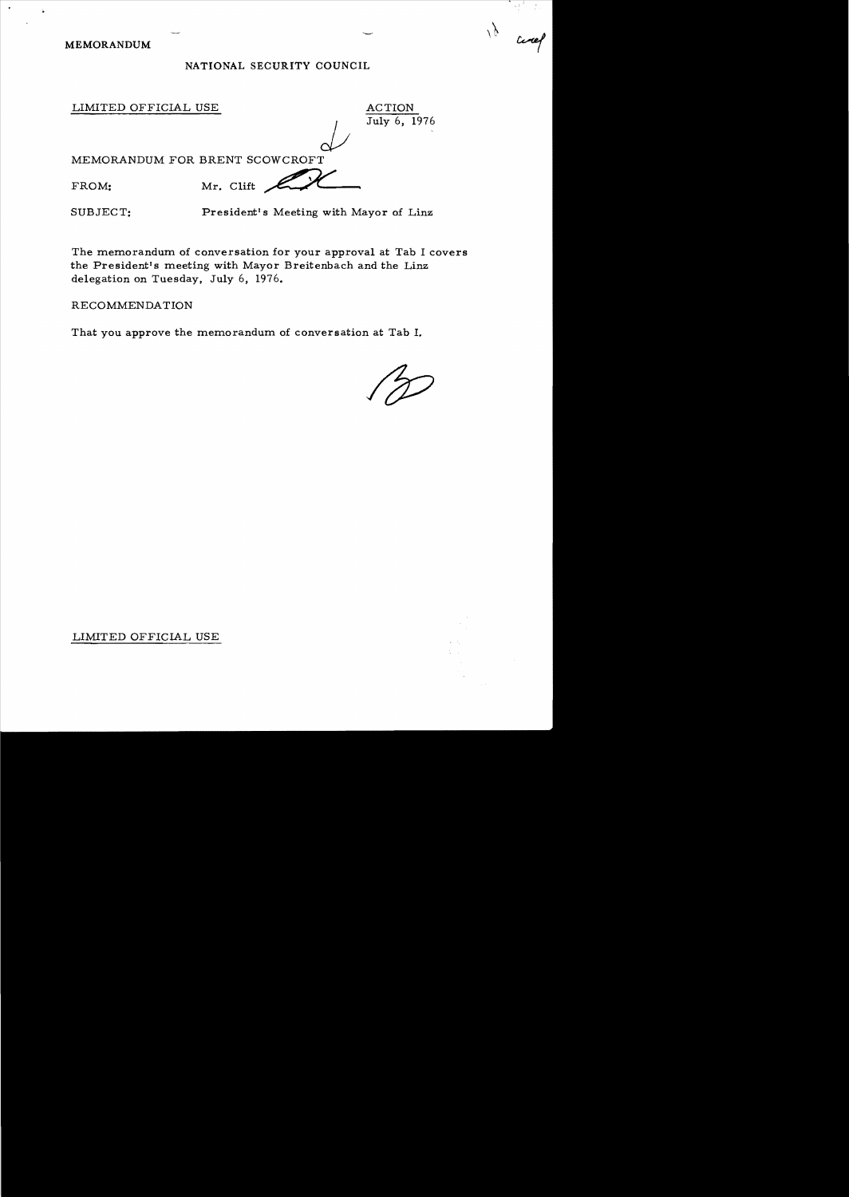MEMORANDUM

٠.

í.

## NATIONAL SECURITY COUNCIL

### LIMITED OFFICIAL USE ACTION

July 6, 1976 MEMORANDUM FOR BRENT SCOWCROFT FROM: Mr. Clift NT SCOWCROFT<br>Clift  $\overbrace{}$ 

SUBJECT:

President's Meeting with Mayor of Linz

The memorandum of conversation for your approval at Tab I covers the President's meeting with Mayor Breitenbach and the Linz delegation On Tuesday, July 6, 1976.

RECOMMENDATION

That you approve the memorandum of conversation at Tab 1.

 $\vee$  and

LIMITED OFFICIAL USE